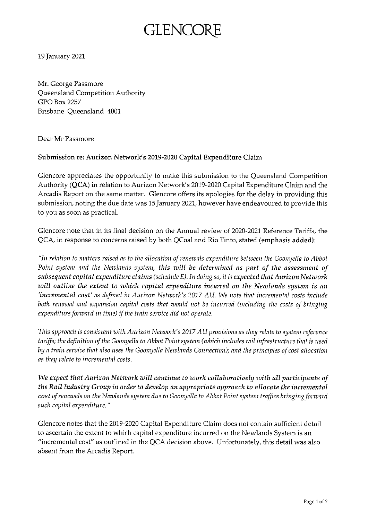## GLENCC

19 January 2021

Mr. George Passmore Queensland Competition Authority GPO Box 2257 Brisbane Queensland 4001

Dear Mr Passmore

## **Submission re: Aurizon Network's 2019-2020 Capital Expenditure Claim**

Glencore appreciates the opportunity to make this submission to the Queensland Competition Authority (QCA) in relation to Aurizon Network's 2019-2020 Capital Expenditure Claim and the Arcadis Report on the same matter. Glencore offers its apologies for the delay in providing this submission, noting the due date was 15 January 2021, however have endeavoured to provide this to you as soon as practical.

Glencore note that in its final decision on the Annual review of 2020-2021 Reference Tariffs, the QCA, in response to concerns raised by both QCoal and Rio Tinto, stated **(emphasis added):**

*"In relation to matters raised as to the allocation ofrenewals expenditure between the Goomjella to Abbot Point system and the Newlands system, this will be determined as part of the assessment of subsequent capital expenditure claims (schedule E). In doing so, it is expected thatAurizonNetwork will outline the extent to zvhich capital expenditure incurred on the Newlands system is an 'incremental cost' as defined in Aurizon Network's 2017 AU. We note that incremental costs include both renewal and expansion capital costs that would not be incurred (including the costs of bringing expenditureforward in time) ifthe train service did not operate.*

*This approach is consistent with Aurizon Network's 2017AUprovisions as they relate to system reference tariffs; the definition ofthe Goonyella to Abbot Pointsystem (zvhich includes rail infrastructure that is used* by a train service that also uses the Goonyella Newlands Connection); and the principles of cost allocation *as they relate to incremental costs.*

*We expect thatAurizon Network will continue to xuork collaboratively with all participants of the Rail Industry Group in orderto develop an appropriate approach to allocate the incremental cost ofrenewals on the Newlands system due to Goonyella to Abbot Pointsystem traffics bringingforward such capital expenditure."*

Glencore notes that the 2019-2020 Capital Expenditure Claim does not contain sufficient detail to ascertain the extent to which capital expenditure incurred on the Newlands System is an "incremental cost" as outlined in the QCA decision above. Unfortunately, this detail was also absent from the Arcadis Report.